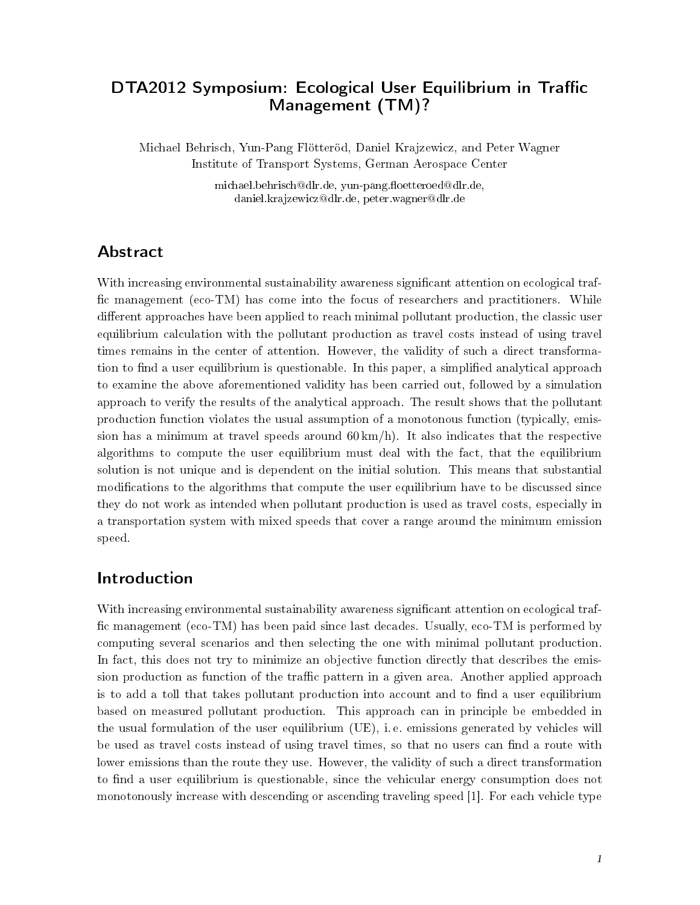# DTA2012 Symposium: Ecological User Equilibrium in Traffic Management (TM)?

Michael Behrisch, Yun-Pang Flötteröd, Daniel Krajzewicz, and Peter Wagner Institute of Transport Systems, German Aerospace Center

> michael.behrisch@dlr.de, yun-pang.floetteroed@dlr.de, daniel.krajzewicz@dlr.de, peter.wagner@dlr.de

# Abstract

With increasing environmental sustainability awareness significant attention on ecological traffic management (eco-TM) has come into the focus of researchers and practitioners. While different approaches have been applied to reach minimal pollutant production, the classic user equilibrium calculation with the pollutant production as travel costs instead of using travel times remains in the center of attention. However, the validity of such a direct transformation to find a user equilibrium is questionable. In this paper, a simplified analytical approach to examine the above aforementioned validity has been carried out, followed by a simulation approach to verify the results of the analytical approach. The result shows that the pollutant production function violates the usual assumption of a monotonous function (typically, emission has a minimum at travel speeds around  $60 \,\mathrm{km/h}$ . It also indicates that the respective algorithms to compute the user equilibrium must deal with the fact, that the equilibrium solution is not unique and is dependent on the initial solution. This means that substantial modifications to the algorithms that compute the user equilibrium have to be discussed since they do not work as intended when pollutant production is used as travel costs, especially in a transportation system with mixed speeds that cover a range around the minimum emission speed.

## Introduction

With increasing environmental sustainability awareness significant attention on ecological traffic management (eco-TM) has been paid since last decades. Usually, eco-TM is performed by computing several scenarios and then selecting the one with minimal pollutant production. In fact, this does not try to minimize an objective function directly that describes the emission production as function of the traffic pattern in a given area. Another applied approach is to add a toll that takes pollutant production into account and to find a user equilibrium based on measured pollutant production. This approach can in principle be embedded in the usual formulation of the user equilibrium (UE), i. e. emissions generated by vehicles will be used as travel costs instead of using travel times, so that no users can find a route with lower emissions than the route they use. However, the validity of such a direct transformation to find a user equilibrium is questionable, since the vehicular energy consumption does not monotonously increase with descending or ascending traveling speed [1]. For each vehicle type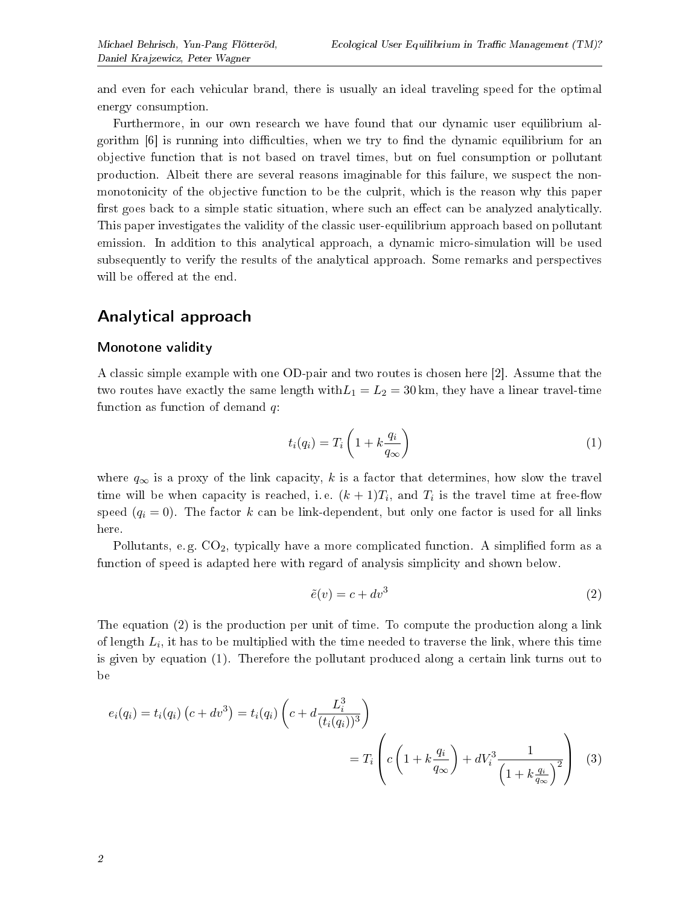and even for each vehicular brand, there is usually an ideal traveling speed for the optimal energy consumption.

Furthermore, in our own research we have found that our dynamic user equilibrium algorithm  $|6|$  is running into difficulties, when we try to find the dynamic equilibrium for an objective function that is not based on travel times, but on fuel consumption or pollutant production. Albeit there are several reasons imaginable for this failure, we suspect the nonmonotonicity of the objective function to be the culprit, which is the reason why this paper first goes back to a simple static situation, where such an effect can be analyzed analytically. This paper investigates the validity of the classic user-equilibrium approach based on pollutant emission. In addition to this analytical approach, a dynamic micro-simulation will be used subsequently to verify the results of the analytical approach. Some remarks and perspectives will be offered at the end.

# Analytical approach

## Monotone validity

A classic simple example with one OD-pair and two routes is chosen here [2]. Assume that the two routes have exactly the same length with  $L_1 = L_2 = 30$  km, they have a linear travel-time function as function of demand  $q$ :

$$
t_i(q_i) = T_i \left( 1 + k \frac{q_i}{q_\infty} \right) \tag{1}
$$

where  $q_{\infty}$  is a proxy of the link capacity, k is a factor that determines, how slow the travel time will be when capacity is reached, i.e.  $(k+1)T_i$ , and  $T_i$  is the travel time at free-flow speed  $(q_i = 0)$ . The factor k can be link-dependent, but only one factor is used for all links here.

Pollutants, e.g.  $CO<sub>2</sub>$ , typically have a more complicated function. A simplified form as a function of speed is adapted here with regard of analysis simplicity and shown below.

$$
\tilde{e}(v) = c + dv^3 \tag{2}
$$

The equation (2) is the production per unit of time. To compute the production along a link of length  $L_i$ , it has to be multiplied with the time needed to traverse the link, where this time is given by equation (1). Therefore the pollutant produced along a certain link turns out to be

$$
e_i(q_i) = t_i(q_i) (c + dv^3) = t_i(q_i) \left( c + d \frac{L_i^3}{(t_i(q_i))^3} \right)
$$
  
=  $T_i \left( c \left( 1 + k \frac{q_i}{q_\infty} \right) + dV_i^3 \frac{1}{\left( 1 + k \frac{q_i}{q_\infty} \right)^2} \right)$  (3)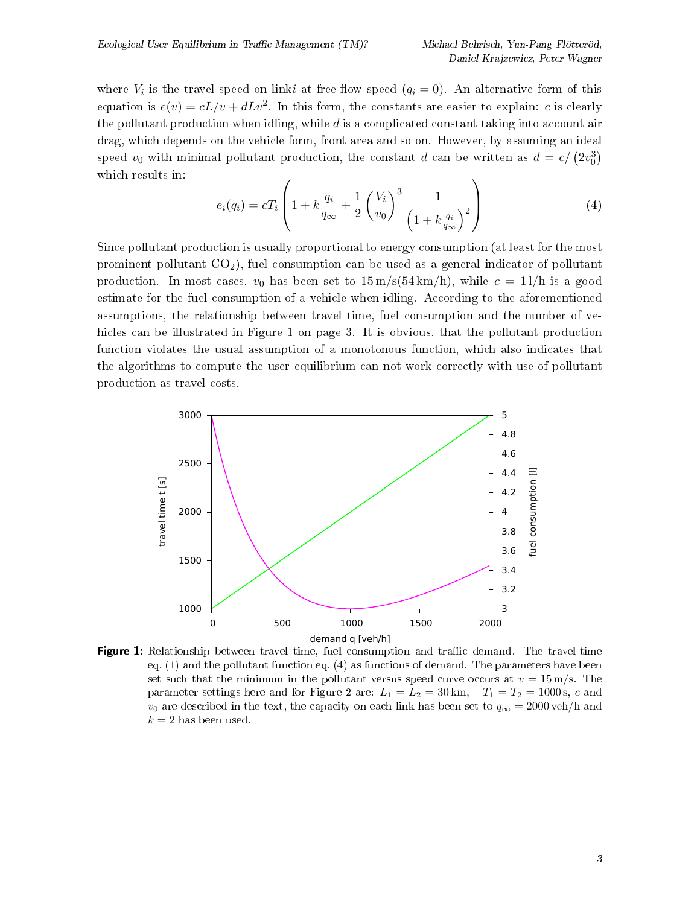where  $V_i$  is the travel speed on linki at free-flow speed  $(q_i = 0)$ . An alternative form of this equation is  $e(v) = cL/v + dLv^2$ . In this form, the constants are easier to explain: c is clearly the pollutant production when idling, while  $d$  is a complicated constant taking into account air drag, which depends on the vehicle form, front area and so on. However, by assuming an ideal speed  $v_0$  with minimal pollutant production, the constant d can be written as  $d = c/(2v_0^3)$ which results in:

$$
e_i(q_i) = cT_i \left( 1 + k \frac{q_i}{q_{\infty}} + \frac{1}{2} \left( \frac{V_i}{v_0} \right)^3 \frac{1}{\left( 1 + k \frac{q_i}{q_{\infty}} \right)^2} \right)
$$
(4)

Since pollutant production is usually proportional to energy consumption (at least for the most prominent pollutant  $CO<sub>2</sub>$ , fuel consumption can be used as a general indicator of pollutant production. In most cases,  $v_0$  has been set to  $15 \text{ m/s}(54 \text{ km/h})$ , while  $c = 11/\text{h}$  is a good estimate for the fuel consumption of a vehicle when idling. According to the aforementioned assumptions, the relationship between travel time, fuel consumption and the number of vehicles can be illustrated in Figure 1 on page 3. It is obvious, that the pollutant production function violates the usual assumption of a monotonous function, which also indicates that the algorithms to compute the user equilibrium can not work correctly with use of pollutant production as travel costs.



**Figure 1:** Relationship between travel time, fuel consumption and traffic demand. The travel-time eq.  $(1)$  and the pollutant function eq.  $(4)$  as functions of demand. The parameters have been set such that the minimum in the pollutant versus speed curve occurs at  $v = 15$  m/s. The parameter settings here and for Figure 2 are:  $L_1 = L_2 = 30 \text{ km}$ ,  $T_1 = T_2 = 1000 \text{ s}$ , c and  $v_0$  are described in the text, the capacity on each link has been set to  $q_{\infty} = 2000 \text{ veh/h}$  and  $k = 2$  has been used.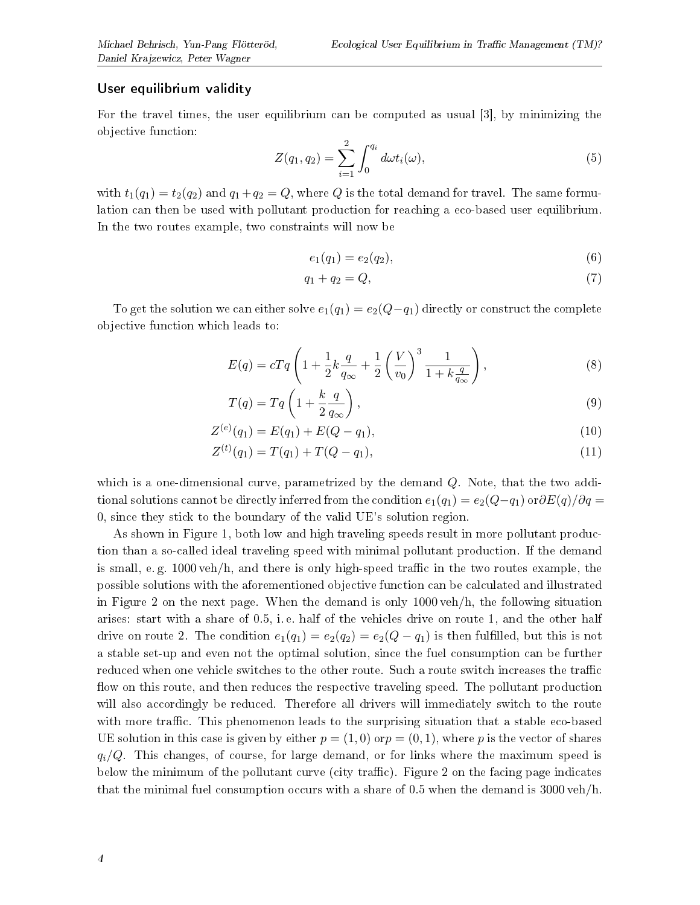### User equilibrium validity

For the travel times, the user equilibrium can be computed as usual [3], by minimizing the objective function:

$$
Z(q_1, q_2) = \sum_{i=1}^{2} \int_0^{q_i} d\omega t_i(\omega),
$$
\n(5)

with  $t_1(q_1) = t_2(q_2)$  and  $q_1 + q_2 = Q$ , where Q is the total demand for travel. The same formulation can then be used with pollutant production for reaching a eco-based user equilibrium. In the two routes example, two constraints will now be

$$
e_1(q_1) = e_2(q_2), \tag{6}
$$

$$
q_1 + q_2 = Q,\t\t(7)
$$

To get the solution we can either solve  $e_1(q_1) = e_2(Q-q_1)$  directly or construct the complete objective function which leads to:

$$
E(q) = cTq \left( 1 + \frac{1}{2}k \frac{q}{q_{\infty}} + \frac{1}{2} \left( \frac{V}{v_0} \right)^3 \frac{1}{1 + k \frac{q}{q_{\infty}}} \right),
$$
 (8)

$$
T(q) = Tq \left( 1 + \frac{k}{2} \frac{q}{q_{\infty}} \right),\tag{9}
$$

$$
Z^{(e)}(q_1) = E(q_1) + E(Q - q_1), \tag{10}
$$

$$
Z^{(t)}(q_1) = T(q_1) + T(Q - q_1), \tag{11}
$$

which is a one-dimensional curve, parametrized by the demand Q. Note, that the two additional solutions cannot be directly inferred from the condition  $e_1(q_1) = e_2(Q-q_1)$  or $\partial E(q)/\partial q =$ 0, since they stick to the boundary of the valid UE's solution region.

As shown in Figure 1, both low and high traveling speeds result in more pollutant production than a so-called ideal traveling speed with minimal pollutant production. If the demand is small, e.g.  $1000 \text{ veh/h}$ , and there is only high-speed traffic in the two routes example, the possible solutions with the aforementioned objective function can be calculated and illustrated in Figure 2 on the next page. When the demand is only 1000 veh/h, the following situation arises: start with a share of 0.5, i. e. half of the vehicles drive on route 1, and the other half drive on route 2. The condition  $e_1(q_1) = e_2(q_2) = e_2(Q - q_1)$  is then fulfilled, but this is not a stable set-up and even not the optimal solution, since the fuel consumption can be further reduced when one vehicle switches to the other route. Such a route switch increases the traffic flow on this route, and then reduces the respective traveling speed. The pollutant production will also accordingly be reduced. Therefore all drivers will immediately switch to the route with more traffic. This phenomenon leads to the surprising situation that a stable eco-based UE solution in this case is given by either  $p = (1,0)$  or  $p = (0,1)$ , where p is the vector of shares  $q_i/Q$ . This changes, of course, for large demand, or for links where the maximum speed is below the minimum of the pollutant curve (city traffic). Figure 2 on the facing page indicates that the minimal fuel consumption occurs with a share of 0.5 when the demand is 3000 veh/h.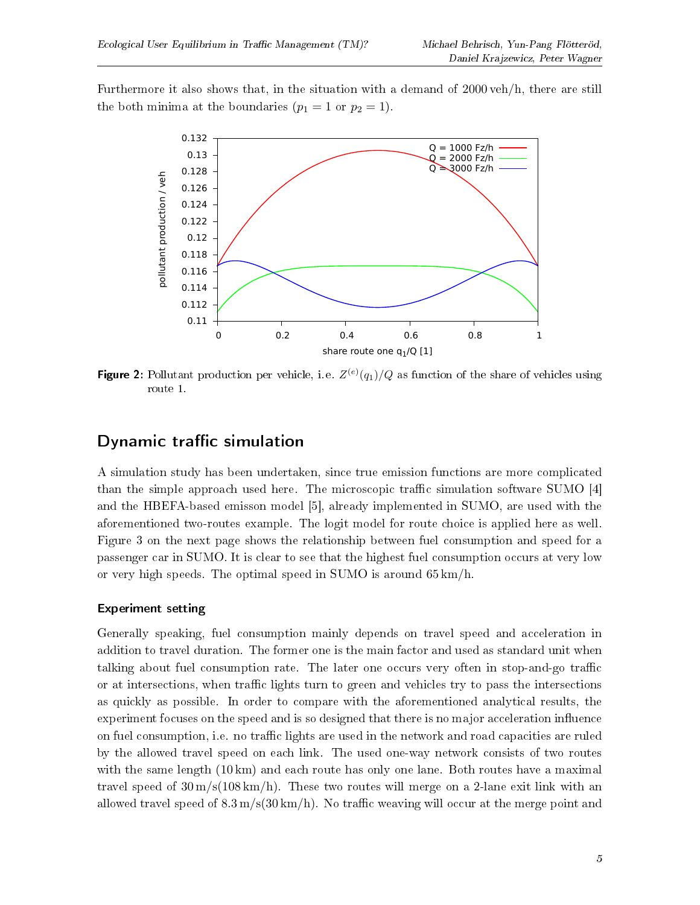Furthermore it also shows that, in the situation with a demand of 2000 veh/h, there are still the both minima at the boundaries  $(p_1 = 1 \text{ or } p_2 = 1)$ .



Figure 2: Pollutant production per vehicle, i. e.  $Z^{(e)}(q_1)/Q$  as function of the share of vehicles using route 1.

## Dynamic traffic simulation

A simulation study has been undertaken, since true emission functions are more complicated than the simple approach used here. The microscopic traffic simulation software SUMO  $[4]$ and the HBEFA-based emisson model [5], already implemented in SUMO, are used with the aforementioned two-routes example. The logit model for route choice is applied here as well. Figure 3 on the next page shows the relationship between fuel consumption and speed for a passenger car in SUMO. It is clear to see that the highest fuel consumption occurs at very low or very high speeds. The optimal speed in SUMO is around 65 km/h.

## Experiment setting

Generally speaking, fuel consumption mainly depends on travel speed and acceleration in addition to travel duration. The former one is the main factor and used as standard unit when talking about fuel consumption rate. The later one occurs very often in stop-and-go traffic or at intersections, when traffic lights turn to green and vehicles try to pass the intersections as quickly as possible. In order to compare with the aforementioned analytical results, the experiment focuses on the speed and is so designed that there is no major acceleration influence on fuel consumption, i.e. no traffic lights are used in the network and road capacities are ruled by the allowed travel speed on each link. The used one-way network consists of two routes with the same length (10 km) and each route has only one lane. Both routes have a maximal travel speed of  $30 \text{ m/s} (108 \text{ km/h})$ . These two routes will merge on a 2-lane exit link with an allowed travel speed of  $8.3 \text{ m/s} (30 \text{ km/h})$ . No traffic weaving will occur at the merge point and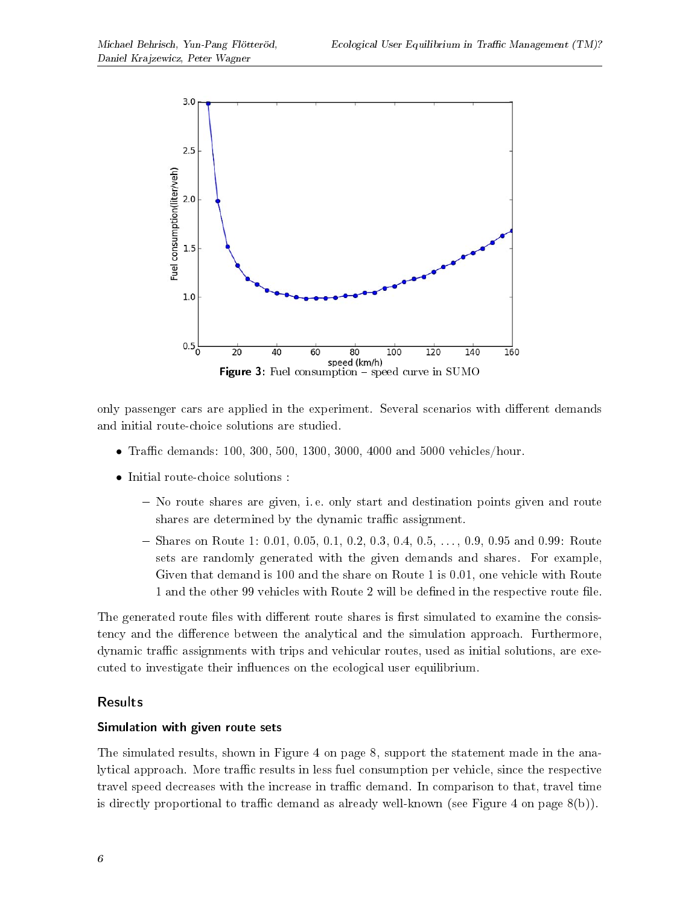

only passenger cars are applied in the experiment. Several scenarios with different demands and initial route-choice solutions are studied.

- Traffic demands: 100, 300, 500, 1300, 3000, 4000 and 5000 vehicles/hour.
- Initial route-choice solutions :
	- No route shares are given, i. e. only start and destination points given and route shares are determined by the dynamic traffic assignment.
	- Shares on Route 1: 0.01, 0.05, 0.1, 0.2, 0.3, 0.4, 0.5,  $\dots$ , 0.9, 0.95 and 0.99: Route sets are randomly generated with the given demands and shares. For example, Given that demand is 100 and the share on Route 1 is 0.01, one vehicle with Route 1 and the other 99 vehicles with Route 2 will be defined in the respective route file.

The generated route files with different route shares is first simulated to examine the consistency and the difference between the analytical and the simulation approach. Furthermore, dynamic traffic assignments with trips and vehicular routes, used as initial solutions, are executed to investigate their influences on the ecological user equilibrium.

## Results

### Simulation with given route sets

The simulated results, shown in Figure 4 on page 8, support the statement made in the analytical approach. More traffic results in less fuel consumption per vehicle, since the respective travel speed decreases with the increase in traffic demand. In comparison to that, travel time is directly proportional to traffic demand as already well-known (see Figure 4 on page  $8(b)$ ).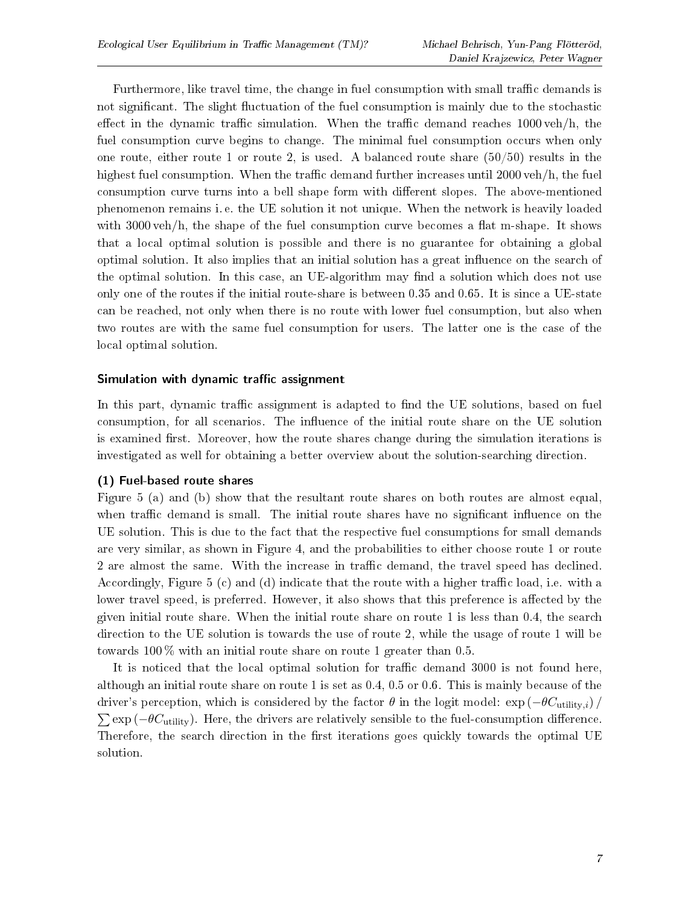Furthermore, like travel time, the change in fuel consumption with small traffic demands is not significant. The slight fluctuation of the fuel consumption is mainly due to the stochastic effect in the dynamic traffic simulation. When the traffic demand reaches  $1000 \text{ veh/h}$ , the fuel consumption curve begins to change. The minimal fuel consumption occurs when only one route, either route 1 or route 2, is used. A balanced route share  $(50/50)$  results in the highest fuel consumption. When the traffic demand further increases until  $2000$  veh/h, the fuel consumption curve turns into a bell shape form with different slopes. The above-mentioned phenomenon remains i. e. the UE solution it not unique. When the network is heavily loaded with  $3000 \text{ veh/h}$ , the shape of the fuel consumption curve becomes a flat m-shape. It shows that a local optimal solution is possible and there is no guarantee for obtaining a global optimal solution. It also implies that an initial solution has a great influence on the search of the optimal solution. In this case, an UE-algorithm may find a solution which does not use only one of the routes if the initial route-share is between 0.35 and 0.65. It is since a UE-state can be reached, not only when there is no route with lower fuel consumption, but also when two routes are with the same fuel consumption for users. The latter one is the case of the local optimal solution.

### Simulation with dynamic traffic assignment

In this part, dynamic traffic assignment is adapted to find the UE solutions, based on fuel consumption, for all scenarios. The influence of the initial route share on the UE solution is examined first. Moreover, how the route shares change during the simulation iterations is investigated as well for obtaining a better overview about the solution-searching direction.

### (1) Fuel-based route shares

Figure 5 (a) and (b) show that the resultant route shares on both routes are almost equal, when traffic demand is small. The initial route shares have no significant influence on the UE solution. This is due to the fact that the respective fuel consumptions for small demands are very similar, as shown in Figure 4, and the probabilities to either choose route 1 or route 2 are almost the same. With the increase in traffic demand, the travel speed has declined. Accordingly, Figure 5 (c) and (d) indicate that the route with a higher traffic load, i.e. with a lower travel speed, is preferred. However, it also shows that this preference is affected by the given initial route share. When the initial route share on route 1 is less than 0.4, the search direction to the UE solution is towards the use of route 2, while the usage of route 1 will be towards  $100\%$  with an initial route share on route 1 greater than 0.5.

It is noticed that the local optimal solution for traffic demand 3000 is not found here, although an initial route share on route 1 is set as 0.4, 0.5 or 0.6. This is mainly because of the driver's perception, which is considered by the factor  $\theta$  in the logit model:  $\exp(-\theta C_{\text{utility},i})$  $\sum \exp(-\theta C_{\text{utility}})$ . Here, the drivers are relatively sensible to the fuel-consumption difference. Therefore, the search direction in the first iterations goes quickly towards the optimal UE solution.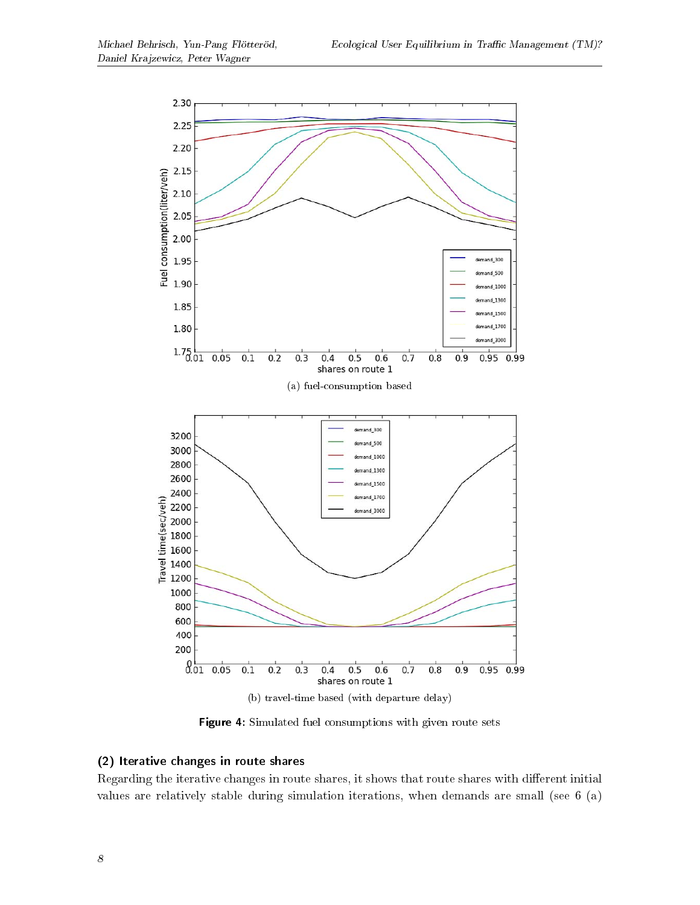

Figure 4: Simulated fuel consumptions with given route sets

## (2) Iterative changes in route shares

Regarding the iterative changes in route shares, it shows that route shares with different initial values are relatively stable during simulation iterations, when demands are small (see 6 (a)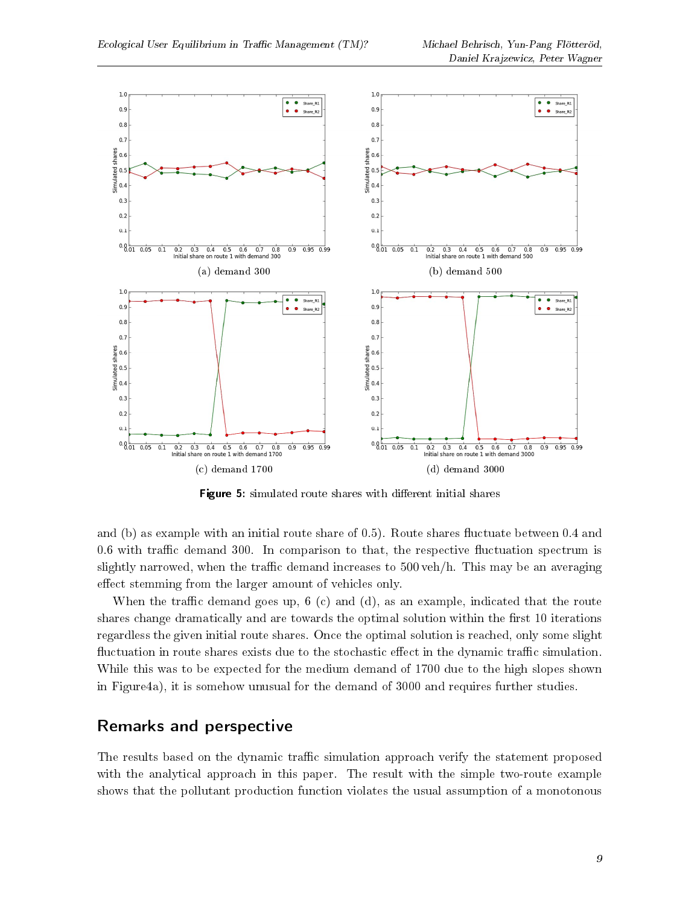

Figure 5: simulated route shares with different initial shares

and (b) as example with an initial route share of  $(0.5)$ . Route shares fluctuate between  $(0.4)$  and  $0.6$  with traffic demand 300. In comparison to that, the respective fluctuation spectrum is slightly narrowed, when the traffic demand increases to  $500 \text{ veh/h}$ . This may be an averaging effect stemming from the larger amount of vehicles only.

When the traffic demand goes up,  $6 \text{ (c)}$  and  $(d)$ , as an example, indicated that the route shares change dramatically and are towards the optimal solution within the first 10 iterations regardless the given initial route shares. Once the optimal solution is reached, only some slight fluctuation in route shares exists due to the stochastic effect in the dynamic traffic simulation. While this was to be expected for the medium demand of 1700 due to the high slopes shown in Figure4a), it is somehow unusual for the demand of 3000 and requires further studies.

## Remarks and perspective

The results based on the dynamic traffic simulation approach verify the statement proposed with the analytical approach in this paper. The result with the simple two-route example shows that the pollutant production function violates the usual assumption of a monotonous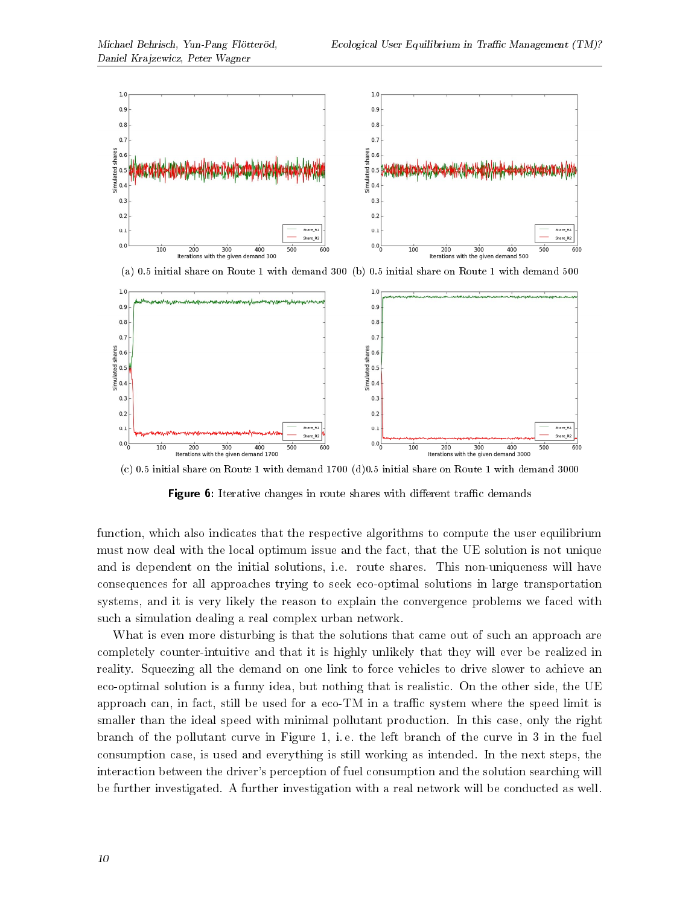

(a) 0.5 initial share on Route 1 with demand 300 (b) 0.5 initial share on Route 1 with demand 500



(c) 0.5 initial share on Route 1 with demand 1700 (d)0.5 initial share on Route 1 with demand 3000

**Figure 6:** Iterative changes in route shares with different traffic demands

function, which also indicates that the respective algorithms to compute the user equilibrium must now deal with the local optimum issue and the fact, that the UE solution is not unique and is dependent on the initial solutions, i.e. route shares. This non-uniqueness will have consequences for all approaches trying to seek eco-optimal solutions in large transportation systems, and it is very likely the reason to explain the convergence problems we faced with such a simulation dealing a real complex urban network.

What is even more disturbing is that the solutions that came out of such an approach are completely counter-intuitive and that it is highly unlikely that they will ever be realized in reality. Squeezing all the demand on one link to force vehicles to drive slower to achieve an eco-optimal solution is a funny idea, but nothing that is realistic. On the other side, the UE approach can, in fact, still be used for a eco-TM in a traffic system where the speed limit is smaller than the ideal speed with minimal pollutant production. In this case, only the right branch of the pollutant curve in Figure 1, i. e. the left branch of the curve in 3 in the fuel consumption case, is used and everything is still working as intended. In the next steps, the interaction between the driver's perception of fuel consumption and the solution searching will be further investigated. A further investigation with a real network will be conducted as well.